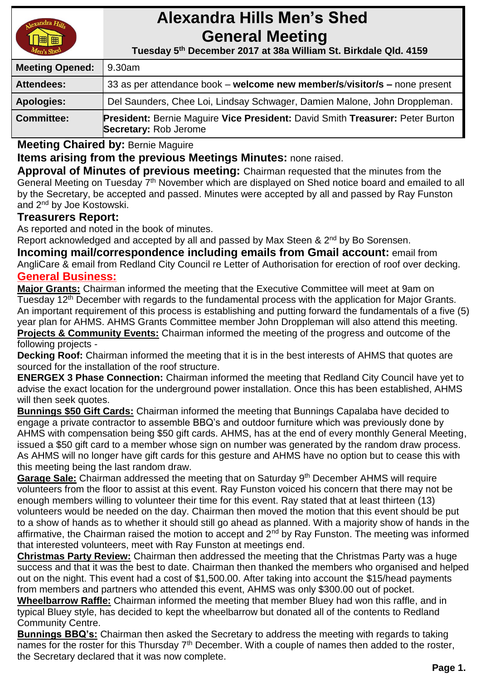

# **Alexandra Hills Men's Shed General Meeting**

 **Tuesday 5 th December 2017 at 38a William St. Birkdale Qld. 4159** 

| <b>Meeting Opened:</b> | 9.30am                                                                                                               |  |
|------------------------|----------------------------------------------------------------------------------------------------------------------|--|
| <b>Attendees:</b>      | 33 as per attendance book – welcome new member/s/visitor/s – none present                                            |  |
| <b>Apologies:</b>      | Del Saunders, Chee Loi, Lindsay Schwager, Damien Malone, John Droppleman.                                            |  |
| <b>Committee:</b>      | <b>President: Bernie Maguire Vice President: David Smith Treasurer: Peter Burton</b><br><b>Secretary: Rob Jerome</b> |  |

**Meeting Chaired by:** Bernie Maguire

**Items arising from the previous Meetings Minutes:** none raised.

**Approval of Minutes of previous meeting:** Chairman requested that the minutes from the General Meeting on Tuesday 7<sup>th</sup> November which are displayed on Shed notice board and emailed to all by the Secretary, be accepted and passed. Minutes were accepted by all and passed by Ray Funston and 2nd by Joe Kostowski.

## **Treasurers Report:**

As reported and noted in the book of minutes.

Report acknowledged and accepted by all and passed by Max Steen & 2<sup>nd</sup> by Bo Sorensen.

**Incoming mail/correspondence including emails from Gmail account:** email from AngliCare & email from Redland City Council re Letter of Authorisation for erection of roof over decking. **General Business:**

**Major Grants:** Chairman informed the meeting that the Executive Committee will meet at 9am on Tuesday 12<sup>th</sup> December with regards to the fundamental process with the application for Major Grants. An important requirement of this process is establishing and putting forward the fundamentals of a five (5) year plan for AHMS. AHMS Grants Committee member John Droppleman will also attend this meeting. **Projects & Community Events:** Chairman informed the meeting of the progress and outcome of the following projects -

**Decking Roof:** Chairman informed the meeting that it is in the best interests of AHMS that quotes are sourced for the installation of the roof structure.

**ENERGEX 3 Phase Connection:** Chairman informed the meeting that Redland City Council have yet to advise the exact location for the underground power installation. Once this has been established, AHMS will then seek quotes.

**Bunnings \$50 Gift Cards:** Chairman informed the meeting that Bunnings Capalaba have decided to engage a private contractor to assemble BBQ's and outdoor furniture which was previously done by AHMS with compensation being \$50 gift cards. AHMS, has at the end of every monthly General Meeting, issued a \$50 gift card to a member whose sign on number was generated by the random draw process. As AHMS will no longer have gift cards for this gesture and AHMS have no option but to cease this with this meeting being the last random draw.

Garage Sale: Chairman addressed the meeting that on Saturday 9<sup>th</sup> December AHMS will require volunteers from the floor to assist at this event. Ray Funston voiced his concern that there may not be enough members willing to volunteer their time for this event. Ray stated that at least thirteen (13) volunteers would be needed on the day. Chairman then moved the motion that this event should be put to a show of hands as to whether it should still go ahead as planned. With a majority show of hands in the affirmative, the Chairman raised the motion to accept and 2<sup>nd</sup> by Ray Funston. The meeting was informed that interested volunteers, meet with Ray Funston at meetings end.

**Christmas Party Review:** Chairman then addressed the meeting that the Christmas Party was a huge success and that it was the best to date. Chairman then thanked the members who organised and helped out on the night. This event had a cost of \$1,500.00. After taking into account the \$15/head payments from members and partners who attended this event, AHMS was only \$300.00 out of pocket.

**Wheelbarrow Raffle:** Chairman informed the meeting that member Bluey had won this raffle, and in typical Bluey style, has decided to kept the wheelbarrow but donated all of the contents to Redland Community Centre.

**Bunnings BBQ's:** Chairman then asked the Secretary to address the meeting with regards to taking names for the roster for this Thursday 7<sup>th</sup> December. With a couple of names then added to the roster, the Secretary declared that it was now complete.